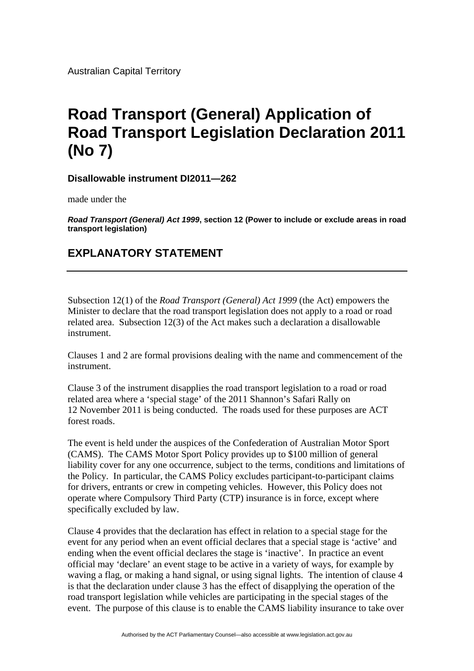Australian Capital Territory

## **Road Transport (General) Application of Road Transport Legislation Declaration 2011 (No 7)**

**Disallowable instrument DI2011—262**

made under the

*Road Transport (General) Act 1999***, section 12 (Power to include or exclude areas in road transport legislation)**

## **EXPLANATORY STATEMENT**

Subsection 12(1) of the *Road Transport (General) Act 1999* (the Act) empowers the Minister to declare that the road transport legislation does not apply to a road or road related area. Subsection 12(3) of the Act makes such a declaration a disallowable instrument.

Clauses 1 and 2 are formal provisions dealing with the name and commencement of the instrument.

Clause 3 of the instrument disapplies the road transport legislation to a road or road related area where a 'special stage' of the 2011 Shannon's Safari Rally on 12 November 2011 is being conducted. The roads used for these purposes are ACT forest roads.

The event is held under the auspices of the Confederation of Australian Motor Sport (CAMS). The CAMS Motor Sport Policy provides up to \$100 million of general liability cover for any one occurrence, subject to the terms, conditions and limitations of the Policy. In particular, the CAMS Policy excludes participant-to-participant claims for drivers, entrants or crew in competing vehicles. However, this Policy does not operate where Compulsory Third Party (CTP) insurance is in force, except where specifically excluded by law.

Clause 4 provides that the declaration has effect in relation to a special stage for the event for any period when an event official declares that a special stage is 'active' and ending when the event official declares the stage is 'inactive'. In practice an event official may 'declare' an event stage to be active in a variety of ways, for example by waving a flag, or making a hand signal, or using signal lights. The intention of clause 4 is that the declaration under clause 3 has the effect of disapplying the operation of the road transport legislation while vehicles are participating in the special stages of the event. The purpose of this clause is to enable the CAMS liability insurance to take over